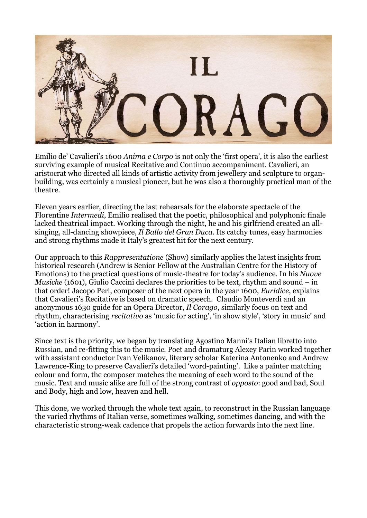

Emilio de' Cavalieri's 1600 *Anima e Corpo* is not only the 'first opera', it is also the earliest surviving example of musical Recitative and Continuo accompaniment. Cavalieri, an aristocrat who directed all kinds of artistic activity from jewellery and sculpture to organbuilding, was certainly a musical pioneer, but he was also a thoroughly practical man of the theatre.

Eleven years earlier, directing the last rehearsals for the elaborate spectacle of the Florentine *Intermedi*, Emilio realised that the poetic, philosophical and polyphonic finale lacked theatrical impact. Working through the night, he and his girlfriend created an allsinging, all-dancing showpiece, *Il Ballo del Gran Duca*. Its catchy tunes, easy harmonies and strong rhythms made it Italy's greatest hit for the next century.

Our approach to this *Rappresentatione* (Show) similarly applies the latest insights from historical research (Andrew is Senior Fellow at the Australian Centre for the History of Emotions) to the practical questions of music-theatre for today's audience. In his *Nuove Musiche* (1601), Giulio Caccini declares the priorities to be text, rhythm and sound – in that order! Jacopo Peri, composer of the next opera in the year 1600, *Euridice*, explains that Cavalieri's Recitative is based on dramatic speech. Claudio Monteverdi and an anonymous 1630 guide for an Opera Director, *Il Corago*, similarly focus on text and rhythm, characterising *recitativo* as 'music for acting', 'in show style', 'story in music' and 'action in harmony'.

Since text is the priority, we began by translating Agostino Manni's Italian libretto into Russian, and re-fitting this to the music. Poet and dramaturg Alexey Parin worked together with assistant conductor Ivan Velikanov, literary scholar Katerina Antonenko and Andrew Lawrence-King to preserve Cavalieri's detailed 'word-painting'. Like a painter matching colour and form, the composer matches the meaning of each word to the sound of the music. Text and music alike are full of the strong contrast of *opposto*: good and bad, Soul and Body, high and low, heaven and hell.

This done, we worked through the whole text again, to reconstruct in the Russian language the varied rhythms of Italian verse, sometimes walking, sometimes dancing, and with the characteristic strong-weak cadence that propels the action forwards into the next line.